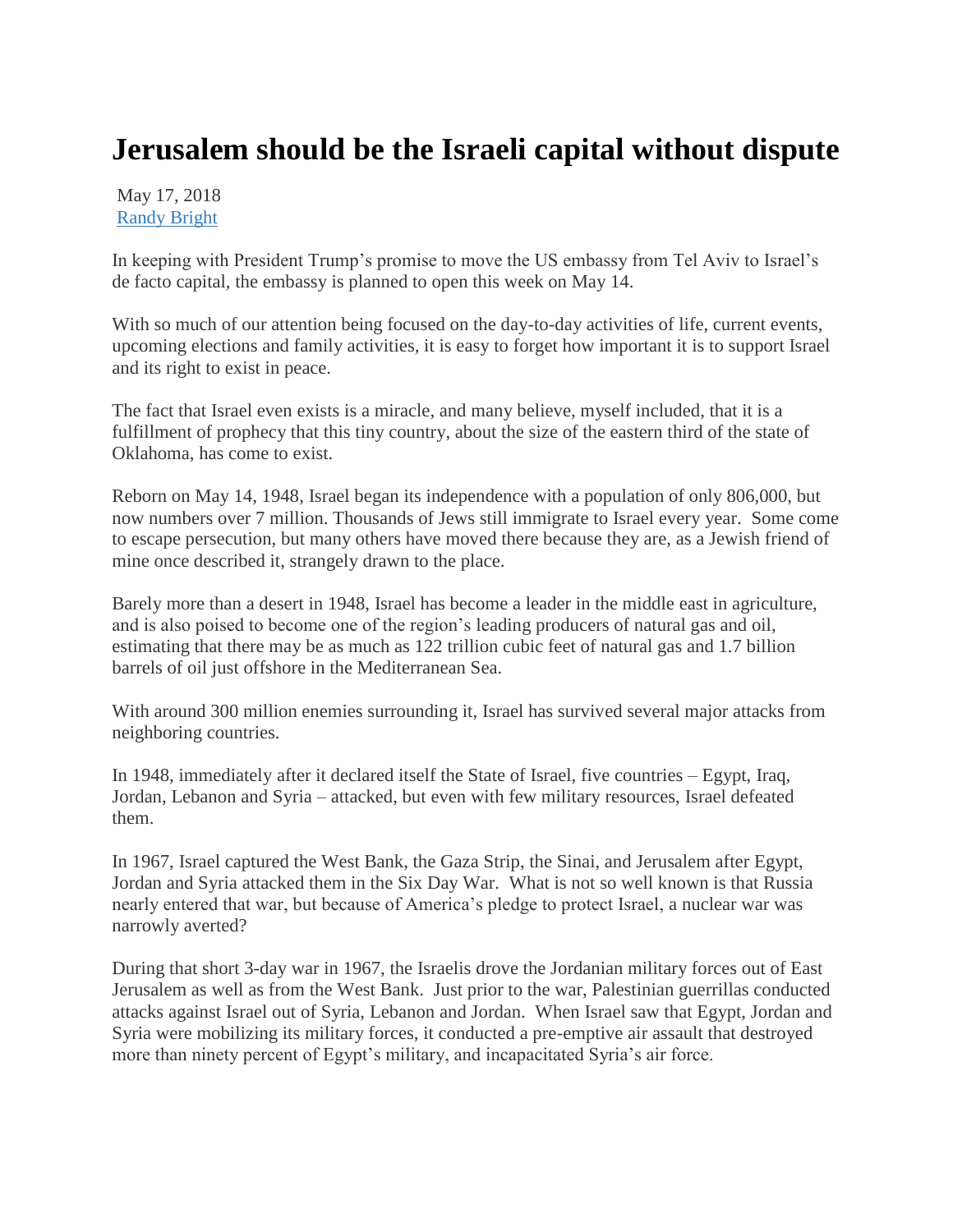## **Jerusalem should be the Israeli capital without dispute**

May 17, 2018 [Randy Bright](http://tulsabeacon.com/author/randy-bright/)

In keeping with President Trump's promise to move the US embassy from Tel Aviv to Israel's de facto capital, the embassy is planned to open this week on May 14.

With so much of our attention being focused on the day-to-day activities of life, current events, upcoming elections and family activities, it is easy to forget how important it is to support Israel and its right to exist in peace.

The fact that Israel even exists is a miracle, and many believe, myself included, that it is a fulfillment of prophecy that this tiny country, about the size of the eastern third of the state of Oklahoma, has come to exist.

Reborn on May 14, 1948, Israel began its independence with a population of only 806,000, but now numbers over 7 million. Thousands of Jews still immigrate to Israel every year. Some come to escape persecution, but many others have moved there because they are, as a Jewish friend of mine once described it, strangely drawn to the place.

Barely more than a desert in 1948, Israel has become a leader in the middle east in agriculture, and is also poised to become one of the region's leading producers of natural gas and oil, estimating that there may be as much as 122 trillion cubic feet of natural gas and 1.7 billion barrels of oil just offshore in the Mediterranean Sea.

With around 300 million enemies surrounding it, Israel has survived several major attacks from neighboring countries.

In 1948, immediately after it declared itself the State of Israel, five countries – Egypt, Iraq, Jordan, Lebanon and Syria – attacked, but even with few military resources, Israel defeated them.

In 1967, Israel captured the West Bank, the Gaza Strip, the Sinai, and Jerusalem after Egypt, Jordan and Syria attacked them in the Six Day War. What is not so well known is that Russia nearly entered that war, but because of America's pledge to protect Israel, a nuclear war was narrowly averted?

During that short 3-day war in 1967, the Israelis drove the Jordanian military forces out of East Jerusalem as well as from the West Bank. Just prior to the war, Palestinian guerrillas conducted attacks against Israel out of Syria, Lebanon and Jordan. When Israel saw that Egypt, Jordan and Syria were mobilizing its military forces, it conducted a pre-emptive air assault that destroyed more than ninety percent of Egypt's military, and incapacitated Syria's air force.